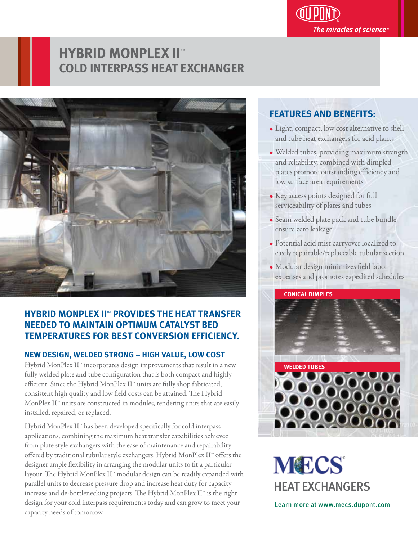

# **HYBRID MONPLEX II™ COLD INTERPASS HEAT EXCHANGER**



# **HYBRID MONPLEX II**™ **PROVIDES THE HEAT TRANSFER NEEDED TO MAINTAIN OPTIMUM CATALYST BED TEMPERATURES FOR BEST CONVERSION EFFICIENCY.**

# **NEW DESIGN, WELDED STRONG – HIGH VALUE, LOW COST**

Hybrid MonPlex II™ incorporates design improvements that result in a new fully welded plate and tube configuration that is both compact and highly efficient. Since the Hybrid MonPlex II™ units are fully shop fabricated, consistent high quality and low field costs can be attained. The Hybrid MonPlex II™ units are constructed in modules, rendering units that are easily installed, repaired, or replaced.

Hybrid MonPlex II™ has been developed specifically for cold interpass applications, combining the maximum heat transfer capabilities achieved from plate style exchangers with the ease of maintenance and repairability offered by traditional tubular style exchangers. Hybrid MonPlex II™ offers the designer ample flexibility in arranging the modular units to fit a particular layout. The Hybrid MonPlex II™ modular design can be readily expanded with parallel units to decrease pressure drop and increase heat duty for capacity increase and de-bottlenecking projects. The Hybrid MonPlex II™ is the right design for your cold interpass requirements today and can grow to meet your capacity needs of tomorrow.

## **FEATURES AND BENEFITS:** ֖֖֖֖ׅ֧֧֚֚֚֚֚֚֚֚֚֚֚֚֚֚֚֚֚֚֚֚֚֚֬֡֡֡֬֡֡֬֞֡֡֡֬֓֞֡֡֬֓֩֞֓֞֡֡֬֓֩֬

- Light, compact, low cost alternative to shell and tube heat exchangers for acid plants
- Welded tubes, providing maximum strength and reliability, combined with dimpled plates promote outstanding efficiency and low surface area requirements
- Key access points designed for full serviceability of plates and tubes
- Seam welded plate pack and tube bundle ensure zero leakage
- Potential acid mist carryover localized to easily repairable/replaceable tubular section
- · Modular design minimizes field labor expenses and promotes expedited schedules

## **CONICAL DIMPLES**



**MECS** HEAT EXCHANGERS

Learn more at www.mecs.dupont.com